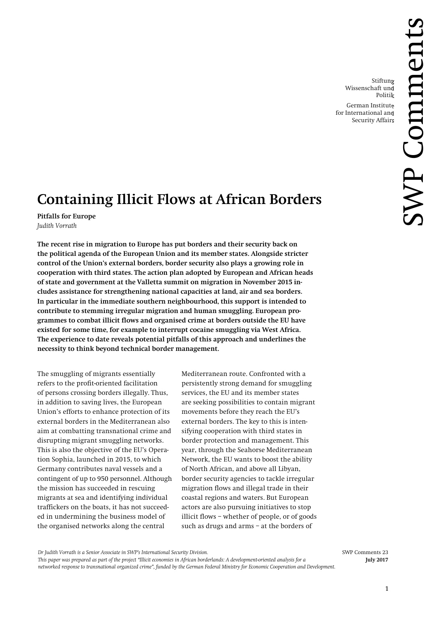Stiftung Wissenschaft und Politik

German Institute for International and Security Affairs

# **Containing Illicit Flows at African Borders**

**Pitfalls for Europe** *Judith Vorrath*

**The recent rise in migration to Europe has put borders and their security back on the political agenda of the European Union and its member states. Alongside stricter control of the Union's external borders, border security also plays a growing role in cooperation with third states. The action plan adopted by European and African heads of state and government at the Valletta summit on migration in November 2015 includes assistance for strengthening national capacities at land, air and sea borders. In particular in the immediate southern neighbourhood, this support is intended to contribute to stemming irregular migration and human smuggling. European programmes to combat illicit flows and organised crime at borders outside the EU have existed for some time, for example to interrupt cocaine smuggling via West Africa. The experience to date reveals potential pitfalls of this approach and underlines the necessity to think beyond technical border management.**

The smuggling of migrants essentially refers to the profit-oriented facilitation of persons crossing borders illegally. Thus, in addition to saving lives, the European Union's efforts to enhance protection of its external borders in the Mediterranean also aim at combatting transnational crime and disrupting migrant smuggling networks. This is also the objective of the EU's Operation Sophia, launched in 2015, to which Germany contributes naval vessels and a contingent of up to 950 personnel. Although the mission has succeeded in rescuing migrants at sea and identifying individual traffickers on the boats, it has not succeeded in undermining the business model of the organised networks along the central

Mediterranean route. Confronted with a persistently strong demand for smuggling services, the EU and its member states are seeking possibilities to contain migrant movements before they reach the EU's external borders. The key to this is intensifying cooperation with third states in border protection and management. This year, through the Seahorse Mediterranean Network, the EU wants to boost the ability of North African, and above all Libyan, border security agencies to tackle irregular migration flows and illegal trade in their coastal regions and waters. But European actors are also pursuing initiatives to stop illicit flows – whether of people, or of goods such as drugs and arms – at the borders of

*Dr Judith Vorrath is a Senior Associate in SWP's International Security Division.* SWP Comments 23

*This paper was prepared as part of the project "Illicit economies in African borderlands: A development-oriented analysis for a* **July 2017**  *networked response to transnational organized crime", funded by the German Federal Ministry for Economic Cooperation and Development.*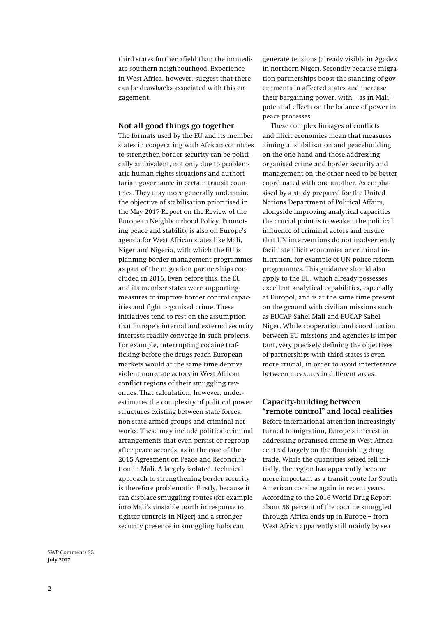third states further afield than the immediate southern neighbourhood. Experience in West Africa, however, suggest that there can be drawbacks associated with this engagement.

#### **Not all good things go together**

The formats used by the EU and its member states in cooperating with African countries to strengthen border security can be politically ambivalent, not only due to problematic human rights situations and authoritarian governance in certain transit countries. They may more generally undermine the objective of stabilisation prioritised in the May 2017 Report on the Review of the European Neighbourhood Policy. Promoting peace and stability is also on Europe's agenda for West African states like Mali, Niger and Nigeria, with which the EU is planning border management programmes as part of the migration partnerships concluded in 2016. Even before this, the EU and its member states were supporting measures to improve border control capacities and fight organised crime. These initiatives tend to rest on the assumption that Europe's internal and external security interests readily converge in such projects. For example, interrupting cocaine trafficking before the drugs reach European markets would at the same time deprive violent non-state actors in West African conflict regions of their smuggling revenues. That calculation, however, underestimates the complexity of political power structures existing between state forces, non-state armed groups and criminal networks. These may include political-criminal arrangements that even persist or regroup after peace accords, as in the case of the 2015 Agreement on Peace and Reconciliation in Mali. A largely isolated, technical approach to strengthening border security is therefore problematic: Firstly, because it can displace smuggling routes (for example into Mali's unstable north in response to tighter controls in Niger) and a stronger security presence in smuggling hubs can

generate tensions (already visible in Agadez in northern Niger). Secondly because migration partnerships boost the standing of governments in affected states and increase their bargaining power, with – as in Mali – potential effects on the balance of power in peace processes.

These complex linkages of conflicts and illicit economies mean that measures aiming at stabilisation and peacebuilding on the one hand and those addressing organised crime and border security and management on the other need to be better coordinated with one another. As emphasised by a study prepared for the United Nations Department of Political Affairs, alongside improving analytical capacities the crucial point is to weaken the political influence of criminal actors and ensure that UN interventions do not inadvertently facilitate illicit economies or criminal infiltration, for example of UN police reform programmes. This guidance should also apply to the EU, which already possesses excellent analytical capabilities, especially at Europol, and is at the same time present on the ground with civilian missions such as EUCAP Sahel Mali and EUCAP Sahel Niger. While cooperation and coordination between EU missions and agencies is important, very precisely defining the objectives of partnerships with third states is even more crucial, in order to avoid interference between measures in different areas.

### **Capacity-building between "remote control" and local realities**

Before international attention increasingly turned to migration, Europe's interest in addressing organised crime in West Africa centred largely on the flourishing drug trade. While the quantities seized fell initially, the region has apparently become more important as a transit route for South American cocaine again in recent years. According to the 2016 World Drug Report about 58 percent of the cocaine smuggled through Africa ends up in Europe – from West Africa apparently still mainly by sea

SWP Comments 23 **July 2017**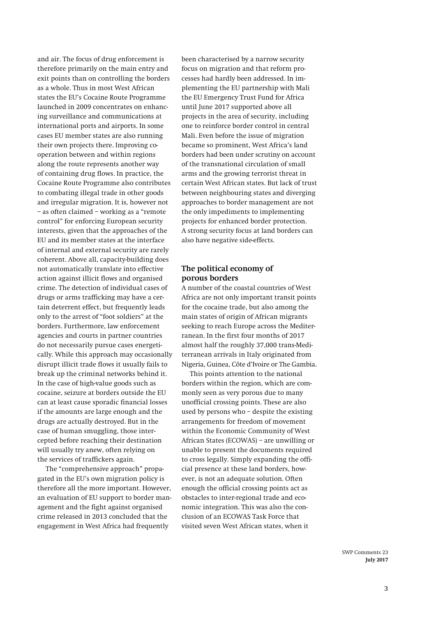and air. The focus of drug enforcement is therefore primarily on the main entry and exit points than on controlling the borders as a whole. Thus in most West African states the EU's Cocaine Route Programme launched in 2009 concentrates on enhancing surveillance and communications at international ports and airports. In some cases EU member states are also running their own projects there. Improving cooperation between and within regions along the route represents another way of containing drug flows. In practice, the Cocaine Route Programme also contributes to combating illegal trade in other goods and irregular migration. It is, however not – as often claimed – working as a "remote control" for enforcing European security interests, given that the approaches of the EU and its member states at the interface of internal and external security are rarely coherent. Above all, capacity-building does not automatically translate into effective action against illicit flows and organised crime. The detection of individual cases of drugs or arms trafficking may have a certain deterrent effect, but frequently leads only to the arrest of "foot soldiers" at the borders. Furthermore, law enforcement agencies and courts in partner countries do not necessarily pursue cases energetically. While this approach may occasionally disrupt illicit trade flows it usually fails to break up the criminal networks behind it. In the case of high-value goods such as cocaine, seizure at borders outside the EU can at least cause sporadic financial losses if the amounts are large enough and the drugs are actually destroyed. But in the case of human smuggling, those intercepted before reaching their destination will usually try anew, often relying on the services of traffickers again.

The "comprehensive approach" propagated in the EU's own migration policy is therefore all the more important. However, an evaluation of EU support to border management and the fight against organised crime released in 2013 concluded that the engagement in West Africa had frequently

been characterised by a narrow security focus on migration and that reform processes had hardly been addressed. In implementing the EU partnership with Mali the EU Emergency Trust Fund for Africa until June 2017 supported above all projects in the area of security, including one to reinforce border control in central Mali. Even before the issue of migration became so prominent, West Africa's land borders had been under scrutiny on account of the transnational circulation of small arms and the growing terrorist threat in certain West African states. But lack of trust between neighbouring states and diverging approaches to border management are not the only impediments to implementing projects for enhanced border protection. A strong security focus at land borders can also have negative side-effects.

## **The political economy of porous borders**

A number of the coastal countries of West Africa are not only important transit points for the cocaine trade, but also among the main states of origin of African migrants seeking to reach Europe across the Mediterranean. In the first four months of 2017 almost half the roughly 37,000 trans-Mediterranean arrivals in Italy originated from Nigeria, Guinea, Côte d'Ivoire or The Gambia.

This points attention to the national borders within the region, which are commonly seen as very porous due to many unofficial crossing points. These are also used by persons who – despite the existing arrangements for freedom of movement within the Economic Community of West African States (ECOWAS) – are unwilling or unable to present the documents required to cross legally. Simply expanding the official presence at these land borders, however, is not an adequate solution. Often enough the official crossing points act as obstacles to inter-regional trade and economic integration. This was also the conclusion of an ECOWAS Task Force that visited seven West African states, when it

> SWP Comments 23 **July 2017**